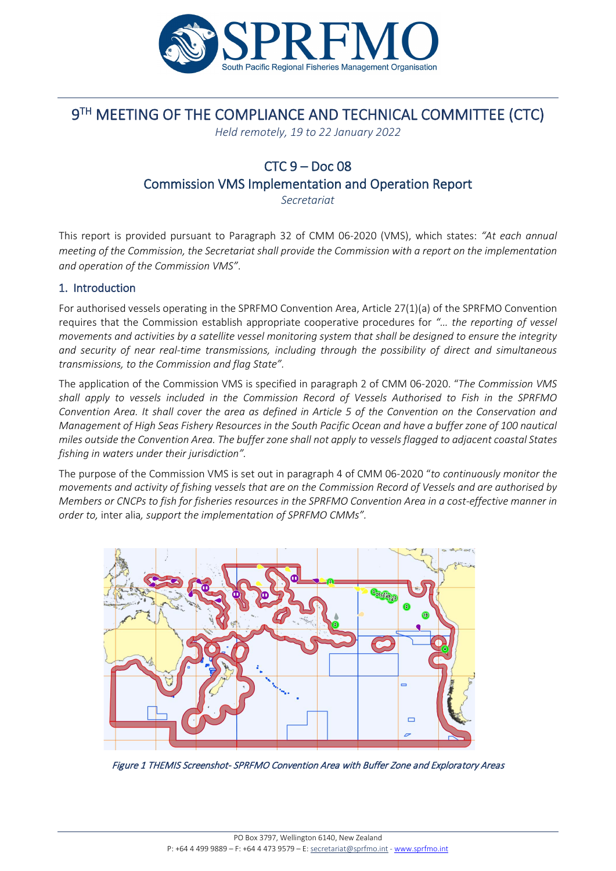

# 9<sup>TH</sup> MEETING OF THE COMPLIANCE AND TECHNICAL COMMITTEE (CTC)

*Held remotely, 19 to 22 January 2022* 

# $CTC 9 - Doc 08$ Commission VMS Implementation and Operation Report

*Secretariat*

This report is provided pursuant to Paragraph 32 of CMM 06-2020 (VMS), which states: *"At each annual meeting of the Commission, the Secretariat shall provide the Commission with a report on the implementation and operation of the Commission VMS"*.

## 1. Introduction

For authorised vessels operating in the SPRFMO Convention Area, Article 27(1)(a) of the SPRFMO Convention requires that the Commission establish appropriate cooperative procedures for *"… the reporting of vessel movements and activities by a satellite vessel monitoring system that shall be designed to ensure the integrity and security of near real-time transmissions, including through the possibility of direct and simultaneous transmissions, to the Commission and flag State".*

The application of the Commission VMS is specified in paragraph 2 of CMM 06-2020. "*The Commission VMS shall apply to vessels included in the Commission Record of Vessels Authorised to Fish in the SPRFMO Convention Area. It shall cover the area as defined in Article 5 of the Convention on the Conservation and Management of High Seas Fishery Resources in the South Pacific Ocean and have a buffer zone of 100 nautical miles outside the Convention Area. The buffer zone shall not apply to vessels flagged to adjacent coastal States fishing in waters under their jurisdiction".* 

The purpose of the Commission VMS is set out in paragraph 4 of CMM 06-2020 "*to continuously monitor the movements and activity of fishing vessels that are on the Commission Record of Vessels and are authorised by Members or CNCPs to fish for fisheries resources in the SPRFMO Convention Area in a cost-effective manner in order to,* inter alia*, support the implementation of SPRFMO CMMs".*



Figure 1 THEMIS Screenshot- SPRFMO Convention Area with Buffer Zone and Exploratory Areas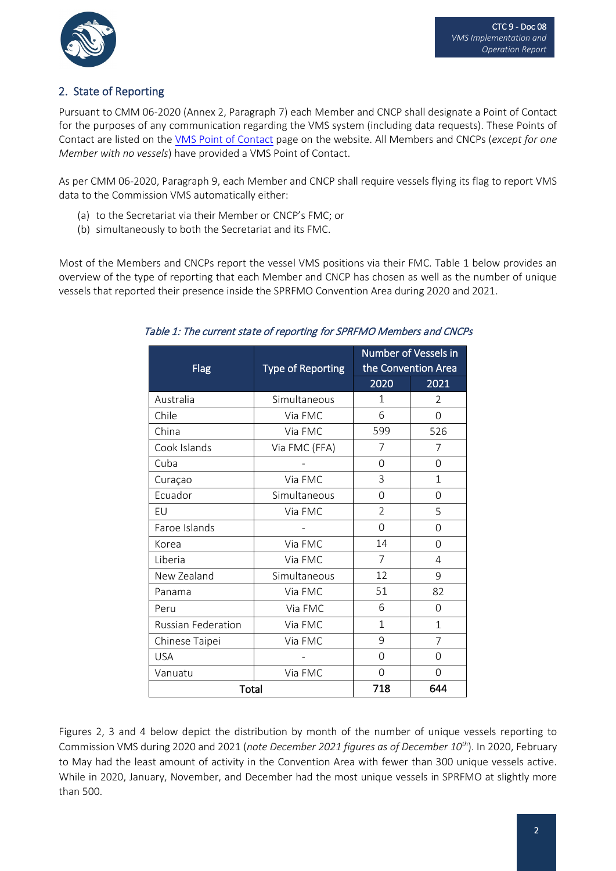

## 2. State of Reporting

Pursuant to CMM 06-2020 (Annex 2, Paragraph 7) each Member and CNCP shall designate a Point of Contact for the purposes of any communication regarding the VMS system (including data requests). These Points of Contact are listed on the [VMS Point of Contact](https://www.sprfmo.int/member-pages/vms-point-of-contact/) page on the website. All Members and CNCPs (*except for one Member with no vessels*) have provided a VMS Point of Contact.

As per CMM 06-2020, Paragraph 9, each Member and CNCP shall require vessels flying its flag to report VMS data to the Commission VMS automatically either:

- (a) to the Secretariat via their Member or CNCP's FMC; or
- (b) simultaneously to both the Secretariat and its FMC.

Most of the Members and CNCPs report the vessel VMS positions via their FMC. Table 1 below provides an overview of the type of reporting that each Member and CNCP has chosen as well as the number of unique vessels that reported their presence inside the SPRFMO Convention Area during 2020 and 2021.

| Flag               | <b>Type of Reporting</b> | <b>Number of Vessels in</b><br>the Convention Area |                |
|--------------------|--------------------------|----------------------------------------------------|----------------|
|                    |                          | 2020                                               | 2021           |
| Australia          | Simultaneous             | $\mathbf 1$                                        | $\mathfrak{D}$ |
| Chile              | Via FMC                  | 6                                                  | 0              |
| China              | Via FMC                  | 599                                                | 526            |
| Cook Islands       | Via FMC (FFA)            | 7                                                  | 7              |
| Cuba               |                          | 0                                                  | $\Omega$       |
| Curaçao            | Via FMC                  | 3                                                  | 1              |
| Ecuador            | Simultaneous             | 0                                                  | $\Omega$       |
| EU                 | Via FMC                  | $\mathfrak{D}$                                     | 5              |
| Faroe Islands      |                          | 0                                                  | $\Omega$       |
| Korea              | Via FMC                  | 14                                                 | $\Omega$       |
| Liberia            | Via FMC                  | 7                                                  | 4              |
| New Zealand        | Simultaneous             | 12                                                 | 9              |
| Panama             | Via FMC                  | 51                                                 | 82             |
| Peru               | Via FMC                  | 6                                                  | $\Omega$       |
| Russian Federation | Via FMC                  | $\mathbf{1}$                                       | $\overline{1}$ |
| Chinese Taipei     | Via FMC                  | 9                                                  | 7              |
| <b>USA</b>         |                          | 0                                                  | $\Omega$       |
| Vanuatu            | Via FMC                  | 0                                                  | 0              |
| Total              |                          | 718                                                | 644            |

Table 1: The current state of reporting for SPRFMO Members and CNCPs

Figures 2, 3 and 4 below depict the distribution by month of the number of unique vessels reporting to Commission VMS during 2020 and 2021 (*note December 2021 figures as of December 10th*). In 2020, February to May had the least amount of activity in the Convention Area with fewer than 300 unique vessels active. While in 2020, January, November, and December had the most unique vessels in SPRFMO at slightly more than 500.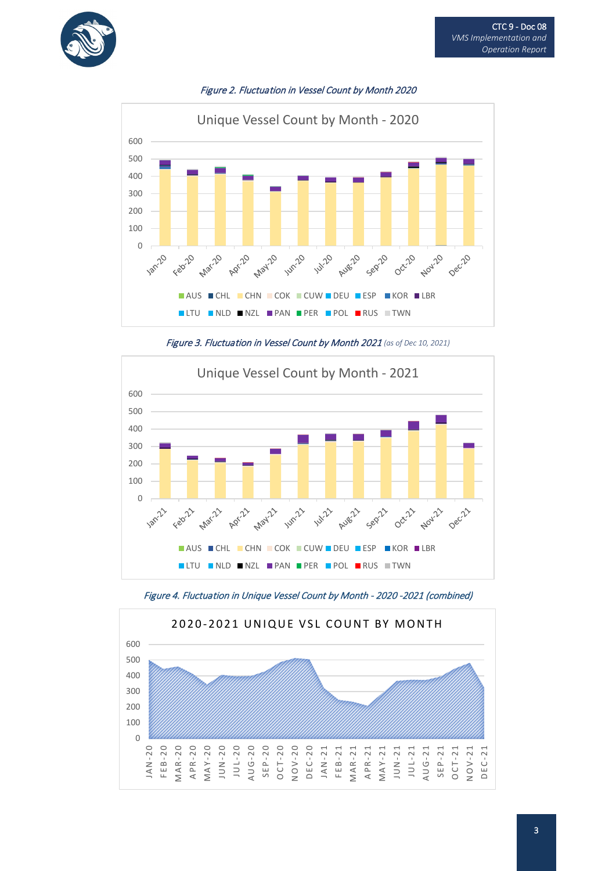



Figure 2. Fluctuation in Vessel Count by Month 2020





Figure 4. Fluctuation in Unique Vessel Count by Month - 2020 -2021 (combined)

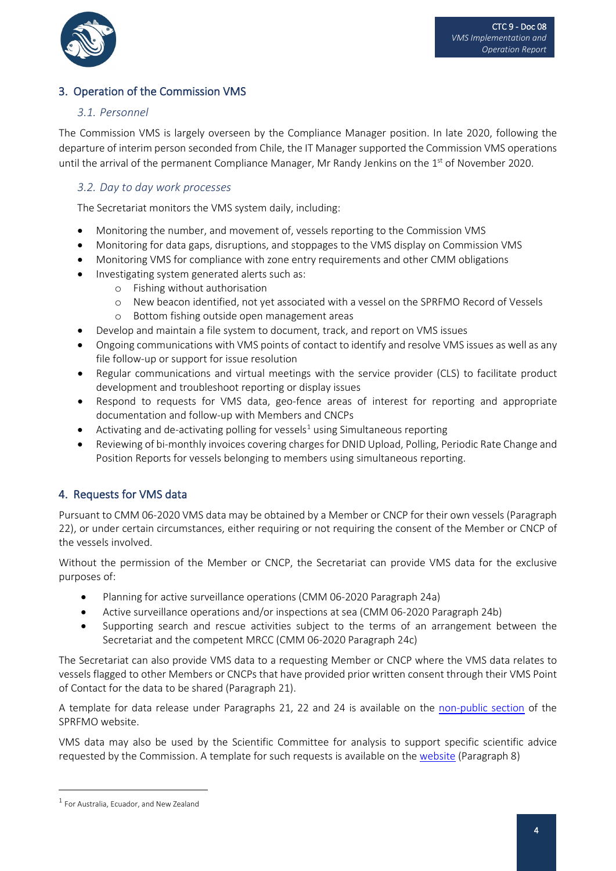

## 3. Operation of the Commission VMS

## *3.1. Personnel*

The Commission VMS is largely overseen by the Compliance Manager position. In late 2020, following the departure of interim person seconded from Chile, the IT Manager supported the Commission VMS operations until the arrival of the permanent Compliance Manager, Mr Randy Jenkins on the  $1<sup>st</sup>$  of November 2020.

#### *3.2. Day to day work processes*

The Secretariat monitors the VMS system daily, including:

- Monitoring the number, and movement of, vessels reporting to the Commission VMS
- Monitoring for data gaps, disruptions, and stoppages to the VMS display on Commission VMS
- Monitoring VMS for compliance with zone entry requirements and other CMM obligations
- Investigating system generated alerts such as:
	- o Fishing without authorisation
	- o New beacon identified, not yet associated with a vessel on the SPRFMO Record of Vessels
	- o Bottom fishing outside open management areas
- Develop and maintain a file system to document, track, and report on VMS issues
- Ongoing communications with VMS points of contact to identify and resolve VMS issues as well as any file follow-up or support for issue resolution
- Regular communications and virtual meetings with the service provider (CLS) to facilitate product development and troubleshoot reporting or display issues
- Respond to requests for VMS data, geo-fence areas of interest for reporting and appropriate documentation and follow-up with Members and CNCPs
- Activating and de-activating polling for vessels<sup>[1](#page-3-0)</sup> using Simultaneous reporting
- Reviewing of bi-monthly invoices covering charges for DNID Upload, Polling, Periodic Rate Change and Position Reports for vessels belonging to members using simultaneous reporting.

## 4. Requests for VMS data

Pursuant to CMM 06-2020 VMS data may be obtained by a Member or CNCP for their own vessels (Paragraph 22), or under certain circumstances, either requiring or not requiring the consent of the Member or CNCP of the vessels involved.

Without the permission of the Member or CNCP, the Secretariat can provide VMS data for the exclusive purposes of:

- Planning for active surveillance operations (CMM 06-2020 Paragraph 24a)
- Active surveillance operations and/or inspections at sea (CMM 06-2020 Paragraph 24b)
- Supporting search and rescue activities subject to the terms of an arrangement between the Secretariat and the competent MRCC (CMM 06-2020 Paragraph 24c)

The Secretariat can also provide VMS data to a requesting Member or CNCP where the VMS data relates to vessels flagged to other Members or CNCPs that have provided prior written consent through their VMS Point of Contact for the data to be shared (Paragraph 21).

A template for data release under Paragraphs 21, 22 and 24 is available on the [non-public section](https://www.sprfmo.int/member-pages/vms-point-of-contact/) of the SPRFMO website.

VMS data may also be used by the Scientific Committee for analysis to support specific scientific advice requested by the Commission. A template for such requests is available on th[e website](https://www.sprfmo.int/science/) (Paragraph 8)

<span id="page-3-0"></span><sup>1</sup> For Australia, Ecuador, and New Zealand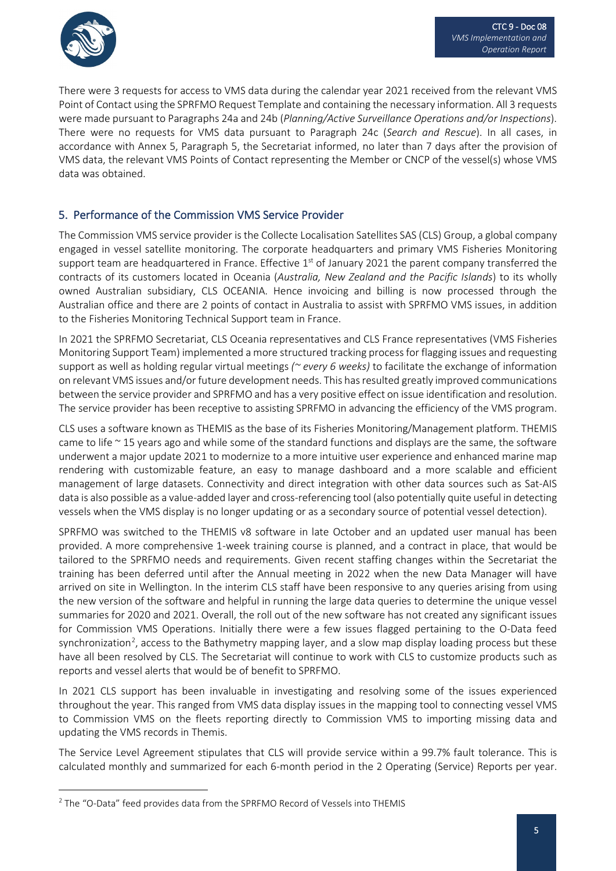

There were 3 requests for access to VMS data during the calendar year 2021 received from the relevant VMS Point of Contact using the SPRFMO Request Template and containing the necessary information. All 3 requests were made pursuant to Paragraphs 24a and 24b (*Planning/Active Surveillance Operations and/or Inspections*). There were no requests for VMS data pursuant to Paragraph 24c (*Search and Rescue*). In all cases, in accordance with Annex 5, Paragraph 5, the Secretariat informed, no later than 7 days after the provision of VMS data, the relevant VMS Points of Contact representing the Member or CNCP of the vessel(s) whose VMS data was obtained.

## 5. Performance of the Commission VMS Service Provider

The Commission VMS service provider is the Collecte Localisation Satellites SAS (CLS) Group, a global company engaged in vessel satellite monitoring. The corporate headquarters and primary VMS Fisheries Monitoring support team are headquartered in France. Effective  $1<sup>st</sup>$  of January 2021 the parent company transferred the contracts of its customers located in Oceania (*Australia, New Zealand and the Pacific Islands*) to its wholly owned Australian subsidiary, CLS OCEANIA. Hence invoicing and billing is now processed through the Australian office and there are 2 points of contact in Australia to assist with SPRFMO VMS issues, in addition to the Fisheries Monitoring Technical Support team in France.

In 2021 the SPRFMO Secretariat, CLS Oceania representatives and CLS France representatives (VMS Fisheries Monitoring Support Team) implemented a more structured tracking process for flagging issues and requesting support as well as holding regular virtual meetings *(~ every 6 weeks)* to facilitate the exchange of information on relevant VMS issues and/or future development needs. This has resulted greatly improved communications between the service provider and SPRFMO and has a very positive effect on issue identification and resolution. The service provider has been receptive to assisting SPRFMO in advancing the efficiency of the VMS program.

CLS uses a software known as THEMIS as the base of its Fisheries Monitoring/Management platform. THEMIS came to life  $\sim$  15 years ago and while some of the standard functions and displays are the same, the software underwent a major update 2021 to modernize to a more intuitive user experience and enhanced marine map rendering with customizable feature, an easy to manage dashboard and a more scalable and efficient management of large datasets. Connectivity and direct integration with other data sources such as Sat-AIS data is also possible as a value-added layer and cross-referencing tool (also potentially quite useful in detecting vessels when the VMS display is no longer updating or as a secondary source of potential vessel detection).

SPRFMO was switched to the THEMIS v8 software in late October and an updated user manual has been provided. A more comprehensive 1-week training course is planned, and a contract in place, that would be tailored to the SPRFMO needs and requirements. Given recent staffing changes within the Secretariat the training has been deferred until after the Annual meeting in 2022 when the new Data Manager will have arrived on site in Wellington. In the interim CLS staff have been responsive to any queries arising from using the new version of the software and helpful in running the large data queries to determine the unique vessel summaries for 2020 and 2021. Overall, the roll out of the new software has not created any significant issues for Commission VMS Operations. Initially there were a few issues flagged pertaining to the O-Data feed synchronization<sup>[2](#page-4-0)</sup>, access to the Bathymetry mapping layer, and a slow map display loading process but these have all been resolved by CLS. The Secretariat will continue to work with CLS to customize products such as reports and vessel alerts that would be of benefit to SPRFMO.

In 2021 CLS support has been invaluable in investigating and resolving some of the issues experienced throughout the year. This ranged from VMS data display issues in the mapping tool to connecting vessel VMS to Commission VMS on the fleets reporting directly to Commission VMS to importing missing data and updating the VMS records in Themis.

The Service Level Agreement stipulates that CLS will provide service within a 99.7% fault tolerance. This is calculated monthly and summarized for each 6-month period in the 2 Operating (Service) Reports per year.

<span id="page-4-0"></span><sup>2</sup> The "O-Data" feed provides data from the SPRFMO Record of Vessels into THEMIS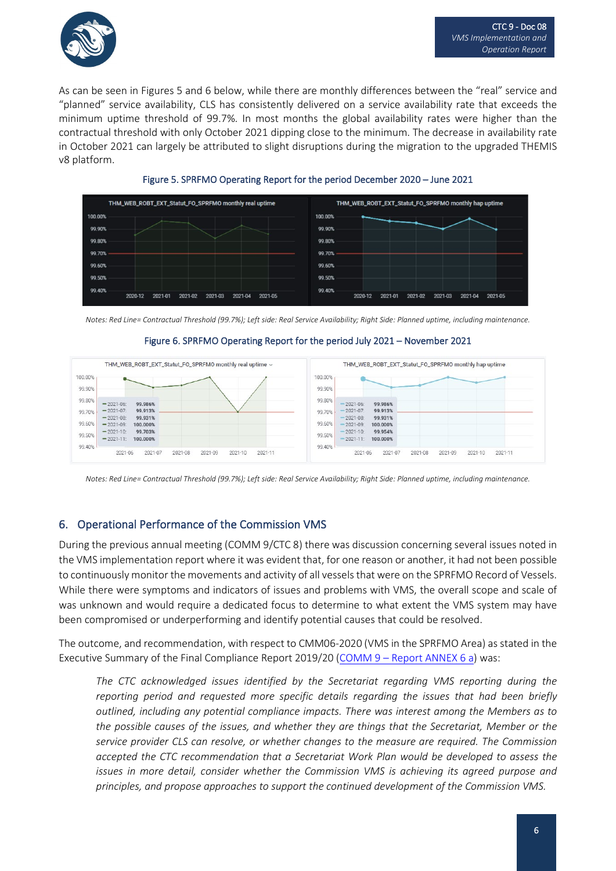

As can be seen in Figures 5 and 6 below, while there are monthly differences between the "real" service and "planned" service availability, CLS has consistently delivered on a service availability rate that exceeds the minimum uptime threshold of 99.7%. In most months the global availability rates were higher than the contractual threshold with only October 2021 dipping close to the minimum. The decrease in availability rate in October 2021 can largely be attributed to slight disruptions during the migration to the upgraded THEMIS v8 platform.



Figure 5. SPRFMO Operating Report for the period December 2020 – June 2021

*Notes: Red Line= Contractual Threshold (99.7%); Left side: Real Service Availability; Right Side: Planned uptime, including maintenance.*



#### Figure 6. SPRFMO Operating Report for the period July 2021 – November 2021

*Notes: Red Line= Contractual Threshold (99.7%); Left side: Real Service Availability; Right Side: Planned uptime, including maintenance.* 

## 6. Operational Performance of the Commission VMS

During the previous annual meeting (COMM 9/CTC 8) there was discussion concerning several issues noted in the VMS implementation report where it was evident that, for one reason or another, it had not been possible to continuously monitor the movements and activity of all vessels that were on the SPRFMO Record of Vessels. While there were symptoms and indicators of issues and problems with VMS, the overall scope and scale of was unknown and would require a dedicated focus to determine to what extent the VMS system may have been compromised or underperforming and identify potential causes that could be resolved.

The outcome, and recommendation, with respect to CMM06-2020 (VMS in the SPRFMO Area) as stated in the Executive Summary of the Final Compliance Report 2019/20 (COMM 9 – [Report ANNEX 6 a\)](https://www.sprfmo.int/assets/0-2021-Annual-Meeting/Reports/Annex-6a-Final-Compliance-Report-on-Members-and-CNCPs-2019-20.pdf) was:

*The CTC acknowledged issues identified by the Secretariat regarding VMS reporting during the reporting period and requested more specific details regarding the issues that had been briefly outlined, including any potential compliance impacts. There was interest among the Members as to the possible causes of the issues, and whether they are things that the Secretariat, Member or the service provider CLS can resolve, or whether changes to the measure are required. The Commission accepted the CTC recommendation that a Secretariat Work Plan would be developed to assess the issues in more detail, consider whether the Commission VMS is achieving its agreed purpose and principles, and propose approaches to support the continued development of the Commission VMS.*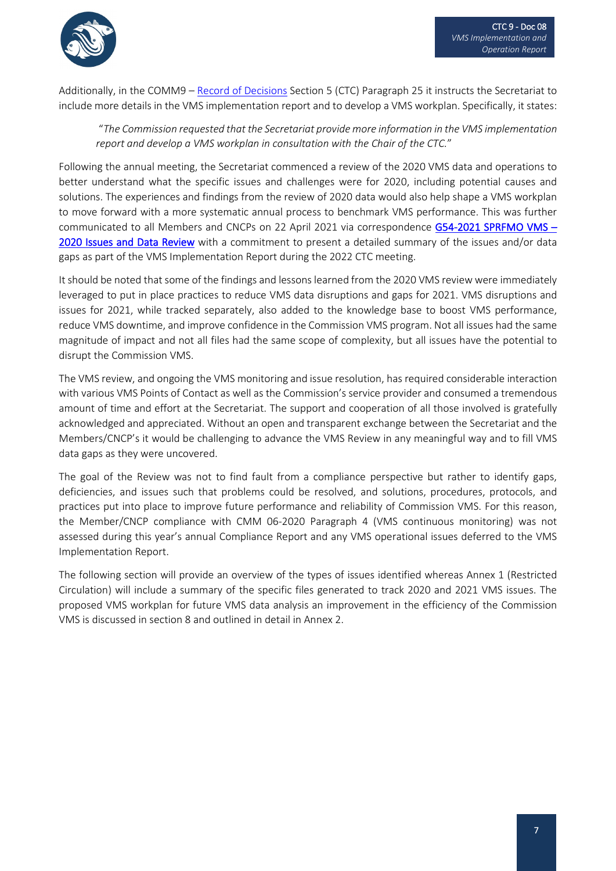

Additionally, in the COMM9 – [Record of Decisions](https://www.sprfmo.int/assets/0-2021-Annual-Meeting/Reports/Annex-9-COMM9-Record-of-Decisions.pdf) Section 5 (CTC) Paragraph 25 it instructs the Secretariat to include more details in the VMS implementation report and to develop a VMS workplan. Specifically, it states:

"*The Commission requested that the Secretariat provide more information in the VMS implementation report and develop a VMS workplan in consultation with the Chair of the CTC.*"

Following the annual meeting, the Secretariat commenced a review of the 2020 VMS data and operations to better understand what the specific issues and challenges were for 2020, including potential causes and solutions. The experiences and findings from the review of 2020 data would also help shape a VMS workplan to move forward with a more systematic annual process to benchmark VMS performance. This was further communicated to all Members and CNCPs on 22 April 2021 via correspondence G54-2021 SPRFMO VMS -[2020 Issues and Data Review](https://www.sprfmo.int/assets/07-Letters-Communications-SPRFMO/2021/G54-2021-SPRFMO-VMS-2020-Issues-and-Data-Review.pdf) with a commitment to present a detailed summary of the issues and/or data gaps as part of the VMS Implementation Report during the 2022 CTC meeting.

It should be noted that some of the findings and lessons learned from the 2020 VMS review were immediately leveraged to put in place practices to reduce VMS data disruptions and gaps for 2021. VMS disruptions and issues for 2021, while tracked separately, also added to the knowledge base to boost VMS performance, reduce VMS downtime, and improve confidence in the Commission VMS program. Not all issues had the same magnitude of impact and not all files had the same scope of complexity, but all issues have the potential to disrupt the Commission VMS.

The VMS review, and ongoing the VMS monitoring and issue resolution, has required considerable interaction with various VMS Points of Contact as well as the Commission's service provider and consumed a tremendous amount of time and effort at the Secretariat. The support and cooperation of all those involved is gratefully acknowledged and appreciated. Without an open and transparent exchange between the Secretariat and the Members/CNCP's it would be challenging to advance the VMS Review in any meaningful way and to fill VMS data gaps as they were uncovered.

The goal of the Review was not to find fault from a compliance perspective but rather to identify gaps, deficiencies, and issues such that problems could be resolved, and solutions, procedures, protocols, and practices put into place to improve future performance and reliability of Commission VMS. For this reason, the Member/CNCP compliance with CMM 06-2020 Paragraph 4 (VMS continuous monitoring) was not assessed during this year's annual Compliance Report and any VMS operational issues deferred to the VMS Implementation Report.

The following section will provide an overview of the types of issues identified whereas Annex 1 (Restricted Circulation) will include a summary of the specific files generated to track 2020 and 2021 VMS issues. The proposed VMS workplan for future VMS data analysis an improvement in the efficiency of the Commission VMS is discussed in section 8 and outlined in detail in Annex 2.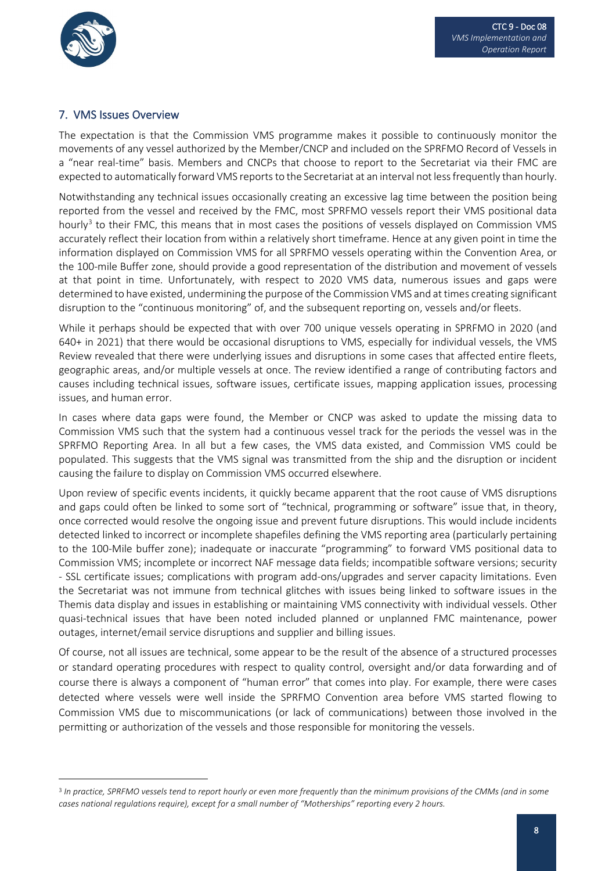

#### 7. VMS Issues Overview

The expectation is that the Commission VMS programme makes it possible to continuously monitor the movements of any vessel authorized by the Member/CNCP and included on the SPRFMO Record of Vessels in a "near real-time" basis. Members and CNCPs that choose to report to the Secretariat via their FMC are expected to automatically forward VMS reports to the Secretariat at an interval not less frequently than hourly.

Notwithstanding any technical issues occasionally creating an excessive lag time between the position being reported from the vessel and received by the FMC, most SPRFMO vessels report their VMS positional data hourly<sup>[3](#page-7-0)</sup> to their FMC, this means that in most cases the positions of vessels displayed on Commission VMS accurately reflect their location from within a relatively short timeframe. Hence at any given point in time the information displayed on Commission VMS for all SPRFMO vessels operating within the Convention Area, or the 100-mile Buffer zone, should provide a good representation of the distribution and movement of vessels at that point in time. Unfortunately, with respect to 2020 VMS data, numerous issues and gaps were determined to have existed, undermining the purpose of the Commission VMS and at times creating significant disruption to the "continuous monitoring" of, and the subsequent reporting on, vessels and/or fleets.

While it perhaps should be expected that with over 700 unique vessels operating in SPRFMO in 2020 (and 640+ in 2021) that there would be occasional disruptions to VMS, especially for individual vessels, the VMS Review revealed that there were underlying issues and disruptions in some cases that affected entire fleets, geographic areas, and/or multiple vessels at once. The review identified a range of contributing factors and causes including technical issues, software issues, certificate issues, mapping application issues, processing issues, and human error.

In cases where data gaps were found, the Member or CNCP was asked to update the missing data to Commission VMS such that the system had a continuous vessel track for the periods the vessel was in the SPRFMO Reporting Area. In all but a few cases, the VMS data existed, and Commission VMS could be populated. This suggests that the VMS signal was transmitted from the ship and the disruption or incident causing the failure to display on Commission VMS occurred elsewhere.

Upon review of specific events incidents, it quickly became apparent that the root cause of VMS disruptions and gaps could often be linked to some sort of "technical, programming or software" issue that, in theory, once corrected would resolve the ongoing issue and prevent future disruptions. This would include incidents detected linked to incorrect or incomplete shapefiles defining the VMS reporting area (particularly pertaining to the 100-Mile buffer zone); inadequate or inaccurate "programming" to forward VMS positional data to Commission VMS; incomplete or incorrect NAF message data fields; incompatible software versions; security - SSL certificate issues; complications with program add-ons/upgrades and server capacity limitations. Even the Secretariat was not immune from technical glitches with issues being linked to software issues in the Themis data display and issues in establishing or maintaining VMS connectivity with individual vessels. Other quasi-technical issues that have been noted included planned or unplanned FMC maintenance, power outages, internet/email service disruptions and supplier and billing issues.

Of course, not all issues are technical, some appear to be the result of the absence of a structured processes or standard operating procedures with respect to quality control, oversight and/or data forwarding and of course there is always a component of "human error" that comes into play. For example, there were cases detected where vessels were well inside the SPRFMO Convention area before VMS started flowing to Commission VMS due to miscommunications (or lack of communications) between those involved in the permitting or authorization of the vessels and those responsible for monitoring the vessels.

<span id="page-7-0"></span><sup>3</sup> *In practice, SPRFMO vessels tend to report hourly or even more frequently than the minimum provisions of the CMMs (and in some cases national regulations require), except for a small number of "Motherships" reporting every 2 hours.*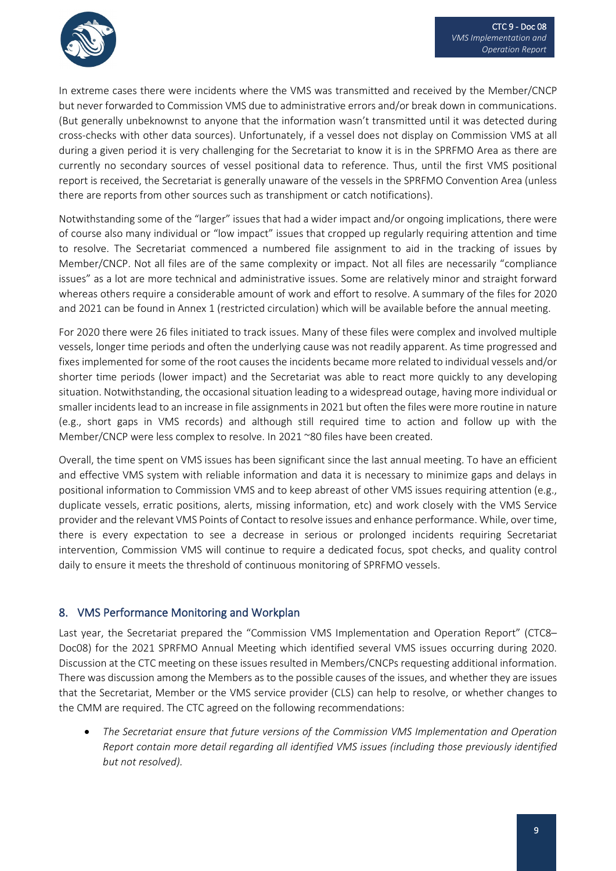

In extreme cases there were incidents where the VMS was transmitted and received by the Member/CNCP but never forwarded to Commission VMS due to administrative errors and/or break down in communications. (But generally unbeknownst to anyone that the information wasn't transmitted until it was detected during cross-checks with other data sources). Unfortunately, if a vessel does not display on Commission VMS at all during a given period it is very challenging for the Secretariat to know it is in the SPRFMO Area as there are currently no secondary sources of vessel positional data to reference. Thus, until the first VMS positional report is received, the Secretariat is generally unaware of the vessels in the SPRFMO Convention Area (unless there are reports from other sources such as transhipment or catch notifications).

Notwithstanding some of the "larger" issues that had a wider impact and/or ongoing implications, there were of course also many individual or "low impact" issues that cropped up regularly requiring attention and time to resolve. The Secretariat commenced a numbered file assignment to aid in the tracking of issues by Member/CNCP. Not all files are of the same complexity or impact. Not all files are necessarily "compliance issues" as a lot are more technical and administrative issues. Some are relatively minor and straight forward whereas others require a considerable amount of work and effort to resolve. A summary of the files for 2020 and 2021 can be found in Annex 1 (restricted circulation) which will be available before the annual meeting.

For 2020 there were 26 files initiated to track issues. Many of these files were complex and involved multiple vessels, longer time periods and often the underlying cause was not readily apparent. As time progressed and fixes implemented for some of the root causes the incidents became more related to individual vessels and/or shorter time periods (lower impact) and the Secretariat was able to react more quickly to any developing situation. Notwithstanding, the occasional situation leading to a widespread outage, having more individual or smaller incidents lead to an increase in file assignments in 2021 but often the files were more routine in nature (e.g., short gaps in VMS records) and although still required time to action and follow up with the Member/CNCP were less complex to resolve. In 2021 ~80 files have been created.

Overall, the time spent on VMS issues has been significant since the last annual meeting. To have an efficient and effective VMS system with reliable information and data it is necessary to minimize gaps and delays in positional information to Commission VMS and to keep abreast of other VMS issues requiring attention (e.g., duplicate vessels, erratic positions, alerts, missing information, etc) and work closely with the VMS Service provider and the relevant VMS Points of Contact to resolve issues and enhance performance. While, over time, there is every expectation to see a decrease in serious or prolonged incidents requiring Secretariat intervention, Commission VMS will continue to require a dedicated focus, spot checks, and quality control daily to ensure it meets the threshold of continuous monitoring of SPRFMO vessels.

## 8. VMS Performance Monitoring and Workplan

Last year, the Secretariat prepared the "Commission VMS Implementation and Operation Report" (CTC8– Doc08) for the 2021 SPRFMO Annual Meeting which identified several VMS issues occurring during 2020. Discussion at the CTC meeting on these issues resulted in Members/CNCPs requesting additional information. There was discussion among the Members as to the possible causes of the issues, and whether they are issues that the Secretariat, Member or the VMS service provider (CLS) can help to resolve, or whether changes to the CMM are required. The CTC agreed on the following recommendations:

• *The Secretariat ensure that future versions of the Commission VMS Implementation and Operation Report contain more detail regarding all identified VMS issues (including those previously identified but not resolved).*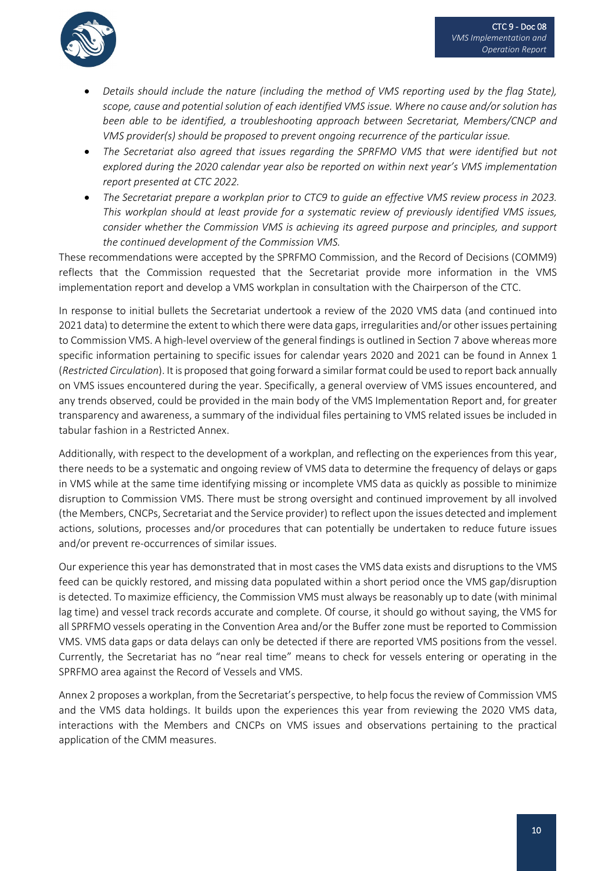

- *Details should include the nature (including the method of VMS reporting used by the flag State), scope, cause and potential solution of each identified VMS issue. Where no cause and/or solution has been able to be identified, a troubleshooting approach between Secretariat, Members/CNCP and VMS provider(s) should be proposed to prevent ongoing recurrence of the particular issue.*
- *The Secretariat also agreed that issues regarding the SPRFMO VMS that were identified but not explored during the 2020 calendar year also be reported on within next year's VMS implementation report presented at CTC 2022.*
- *The Secretariat prepare a workplan prior to CTC9 to guide an effective VMS review process in 2023. This workplan should at least provide for a systematic review of previously identified VMS issues, consider whether the Commission VMS is achieving its agreed purpose and principles, and support the continued development of the Commission VMS.*

These recommendations were accepted by the SPRFMO Commission, and the Record of Decisions (COMM9) reflects that the Commission requested that the Secretariat provide more information in the VMS implementation report and develop a VMS workplan in consultation with the Chairperson of the CTC.

In response to initial bullets the Secretariat undertook a review of the 2020 VMS data (and continued into 2021 data) to determine the extent to which there were data gaps, irregularities and/or other issues pertaining to Commission VMS. A high-level overview of the general findings is outlined in Section 7 above whereas more specific information pertaining to specific issues for calendar years 2020 and 2021 can be found in Annex 1 (*Restricted Circulation*). It is proposed that going forward a similar format could be used to report back annually on VMS issues encountered during the year. Specifically, a general overview of VMS issues encountered, and any trends observed, could be provided in the main body of the VMS Implementation Report and, for greater transparency and awareness, a summary of the individual files pertaining to VMS related issues be included in tabular fashion in a Restricted Annex.

Additionally, with respect to the development of a workplan, and reflecting on the experiences from this year, there needs to be a systematic and ongoing review of VMS data to determine the frequency of delays or gaps in VMS while at the same time identifying missing or incomplete VMS data as quickly as possible to minimize disruption to Commission VMS. There must be strong oversight and continued improvement by all involved (the Members, CNCPs, Secretariat and the Service provider) to reflect upon the issues detected and implement actions, solutions, processes and/or procedures that can potentially be undertaken to reduce future issues and/or prevent re-occurrences of similar issues.

Our experience this year has demonstrated that in most cases the VMS data exists and disruptions to the VMS feed can be quickly restored, and missing data populated within a short period once the VMS gap/disruption is detected. To maximize efficiency, the Commission VMS must always be reasonably up to date (with minimal lag time) and vessel track records accurate and complete. Of course, it should go without saying, the VMS for all SPRFMO vessels operating in the Convention Area and/or the Buffer zone must be reported to Commission VMS. VMS data gaps or data delays can only be detected if there are reported VMS positions from the vessel. Currently, the Secretariat has no "near real time" means to check for vessels entering or operating in the SPRFMO area against the Record of Vessels and VMS.

Annex 2 proposes a workplan, from the Secretariat's perspective, to help focus the review of Commission VMS and the VMS data holdings. It builds upon the experiences this year from reviewing the 2020 VMS data, interactions with the Members and CNCPs on VMS issues and observations pertaining to the practical application of the CMM measures.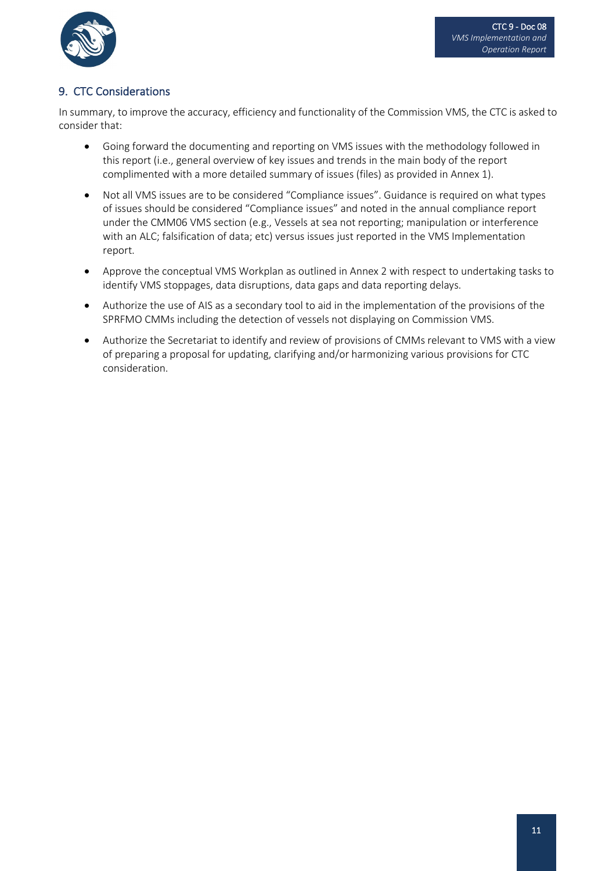

## 9. CTC Considerations

In summary, to improve the accuracy, efficiency and functionality of the Commission VMS, the CTC is asked to consider that:

- Going forward the documenting and reporting on VMS issues with the methodology followed in this report (i.e., general overview of key issues and trends in the main body of the report complimented with a more detailed summary of issues (files) as provided in Annex 1).
- Not all VMS issues are to be considered "Compliance issues". Guidance is required on what types of issues should be considered "Compliance issues" and noted in the annual compliance report under the CMM06 VMS section (e.g., Vessels at sea not reporting; manipulation or interference with an ALC; falsification of data; etc) versus issues just reported in the VMS Implementation report.
- Approve the conceptual VMS Workplan as outlined in Annex 2 with respect to undertaking tasks to identify VMS stoppages, data disruptions, data gaps and data reporting delays.
- Authorize the use of AIS as a secondary tool to aid in the implementation of the provisions of the SPRFMO CMMs including the detection of vessels not displaying on Commission VMS.
- Authorize the Secretariat to identify and review of provisions of CMMs relevant to VMS with a view of preparing a proposal for updating, clarifying and/or harmonizing various provisions for CTC consideration.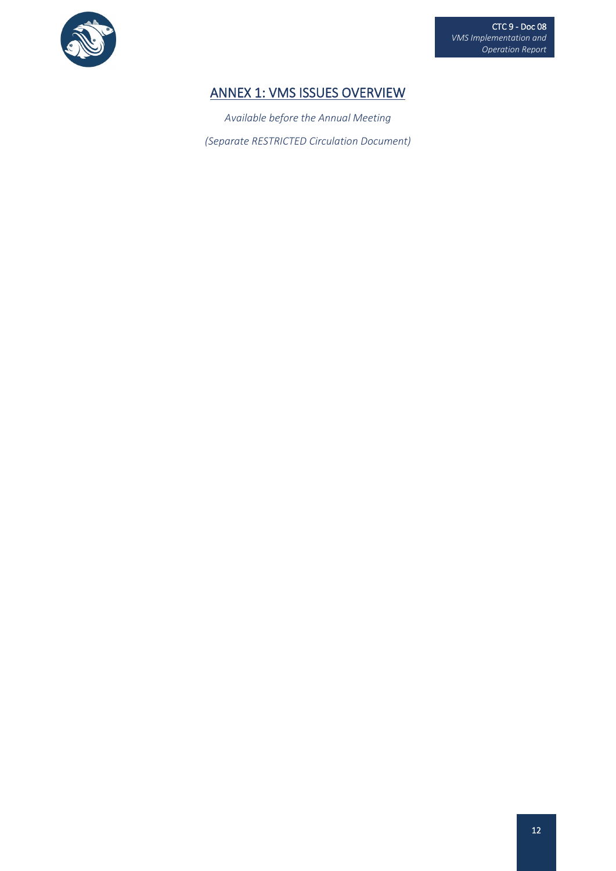

# ANNEX 1: VMS ISSUES OVERVIEW

*Available before the Annual Meeting (Separate RESTRICTED Circulation Document)*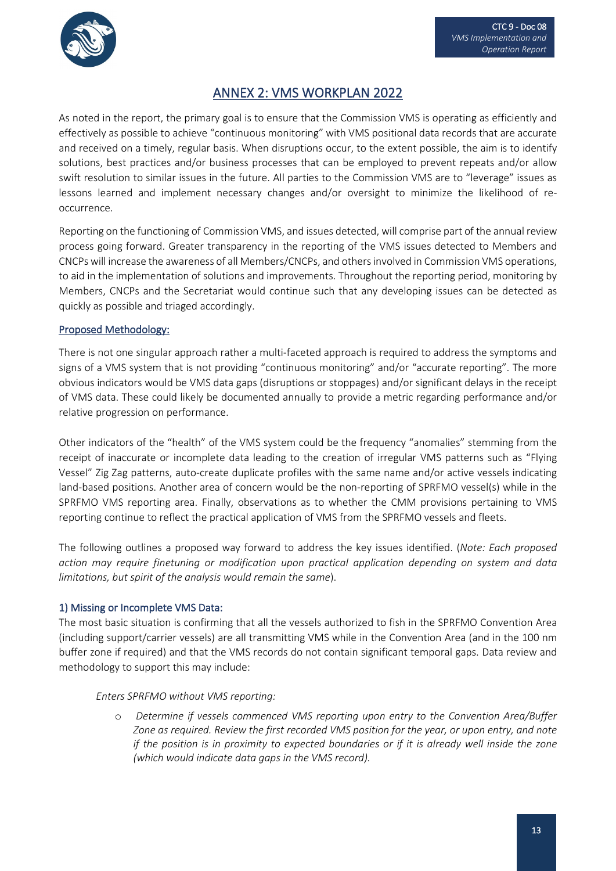

## ANNEX 2: VMS WORKPLAN 2022

As noted in the report, the primary goal is to ensure that the Commission VMS is operating as efficiently and effectively as possible to achieve "continuous monitoring" with VMS positional data records that are accurate and received on a timely, regular basis. When disruptions occur, to the extent possible, the aim is to identify solutions, best practices and/or business processes that can be employed to prevent repeats and/or allow swift resolution to similar issues in the future. All parties to the Commission VMS are to "leverage" issues as lessons learned and implement necessary changes and/or oversight to minimize the likelihood of reoccurrence.

Reporting on the functioning of Commission VMS, and issues detected, will comprise part of the annual review process going forward. Greater transparency in the reporting of the VMS issues detected to Members and CNCPs will increase the awareness of all Members/CNCPs, and others involved in Commission VMS operations, to aid in the implementation of solutions and improvements. Throughout the reporting period, monitoring by Members, CNCPs and the Secretariat would continue such that any developing issues can be detected as quickly as possible and triaged accordingly.

#### Proposed Methodology:

There is not one singular approach rather a multi-faceted approach is required to address the symptoms and signs of a VMS system that is not providing "continuous monitoring" and/or "accurate reporting". The more obvious indicators would be VMS data gaps (disruptions or stoppages) and/or significant delays in the receipt of VMS data. These could likely be documented annually to provide a metric regarding performance and/or relative progression on performance.

Other indicators of the "health" of the VMS system could be the frequency "anomalies" stemming from the receipt of inaccurate or incomplete data leading to the creation of irregular VMS patterns such as "Flying Vessel" Zig Zag patterns, auto-create duplicate profiles with the same name and/or active vessels indicating land-based positions. Another area of concern would be the non-reporting of SPRFMO vessel(s) while in the SPRFMO VMS reporting area. Finally, observations as to whether the CMM provisions pertaining to VMS reporting continue to reflect the practical application of VMS from the SPRFMO vessels and fleets.

The following outlines a proposed way forward to address the key issues identified. (*Note: Each proposed action may require finetuning or modification upon practical application depending on system and data limitations, but spirit of the analysis would remain the same*).

#### 1) Missing or Incomplete VMS Data:

The most basic situation is confirming that all the vessels authorized to fish in the SPRFMO Convention Area (including support/carrier vessels) are all transmitting VMS while in the Convention Area (and in the 100 nm buffer zone if required) and that the VMS records do not contain significant temporal gaps. Data review and methodology to support this may include:

#### *Enters SPRFMO without VMS reporting:*

o *Determine if vessels commenced VMS reporting upon entry to the Convention Area/Buffer Zone as required. Review the first recorded VMS position for the year, or upon entry, and note if the position is in proximity to expected boundaries or if it is already well inside the zone (which would indicate data gaps in the VMS record).*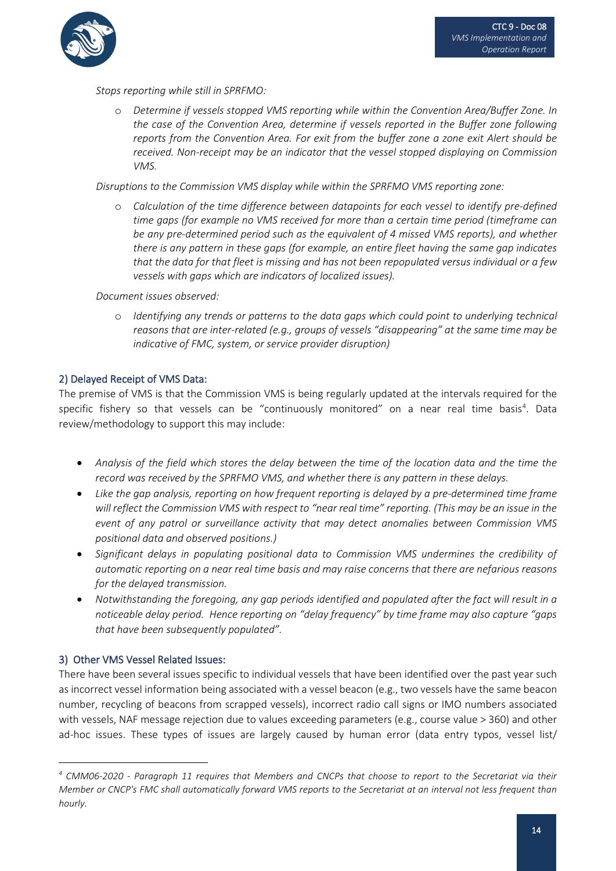

*Stops reporting while still in SPRFMO:* 

o *Determine if vessels stopped VMS reporting while within the Convention Area/Buffer Zone. In the case of the Convention Area, determine if vessels reported in the Buffer zone following reports from the Convention Area. For exit from the buffer zone a zone exit Alert should be received. Non-receipt may be an indicator that the vessel stopped displaying on Commission VMS.*

*Disruptions to the Commission VMS display while within the SPRFMO VMS reporting zone:*

o *Calculation of the time difference between datapoints for each vessel to identify pre-defined time gaps (for example no VMS received for more than a certain time period (timeframe can be any pre-determined period such as the equivalent of 4 missed VMS reports), and whether there is any pattern in these gaps (for example, an entire fleet having the same gap indicates that the data for that fleet is missing and has not been repopulated versus individual or a few vessels with gaps which are indicators of localized issues).*

*Document issues observed:*

o *Identifying any trends or patterns to the data gaps which could point to underlying technical reasons that are inter-related (e.g., groups of vessels "disappearing" at the same time may be indicative of FMC, system, or service provider disruption)*

#### 2) Delayed Receipt of VMS Data:

The premise of VMS is that the Commission VMS is being regularly updated at the intervals required for the specific fishery so that vessels can be "continuously monitored" on a near real time basis<sup>[4](#page-13-0)</sup>. Data review/methodology to support this may include:

- *Analysis of the field which stores the delay between the time of the location data and the time the record was received by the SPRFMO VMS, and whether there is any pattern in these delays.*
- *Like the gap analysis, reporting on how frequent reporting is delayed by a pre-determined time frame will reflect the Commission VMS with respect to "near real time" reporting. (This may be an issue in the event of any patrol or surveillance activity that may detect anomalies between Commission VMS positional data and observed positions.)*
- *Significant delays in populating positional data to Commission VMS undermines the credibility of automatic reporting on a near real time basis and may raise concerns that there are nefarious reasons for the delayed transmission.*
- *Notwithstanding the foregoing, any gap periods identified and populated after the fact will result in a noticeable delay period. Hence reporting on "delay frequency" by time frame may also capture "gaps that have been subsequently populated".*

#### 3) Other VMS Vessel Related Issues:

There have been several issues specific to individual vessels that have been identified over the past year such as incorrect vessel information being associated with a vessel beacon (e.g., two vessels have the same beacon number, recycling of beacons from scrapped vessels), incorrect radio call signs or IMO numbers associated with vessels, NAF message rejection due to values exceeding parameters (e.g., course value > 360) and other ad-hoc issues. These types of issues are largely caused by human error (data entry typos, vessel list/

<span id="page-13-0"></span>*<sup>4</sup> CMM06-2020 - Paragraph 11 requires that Members and CNCPs that choose to report to the Secretariat via their Member or CNCP's FMC shall automatically forward VMS reports to the Secretariat at an interval not less frequent than hourly.*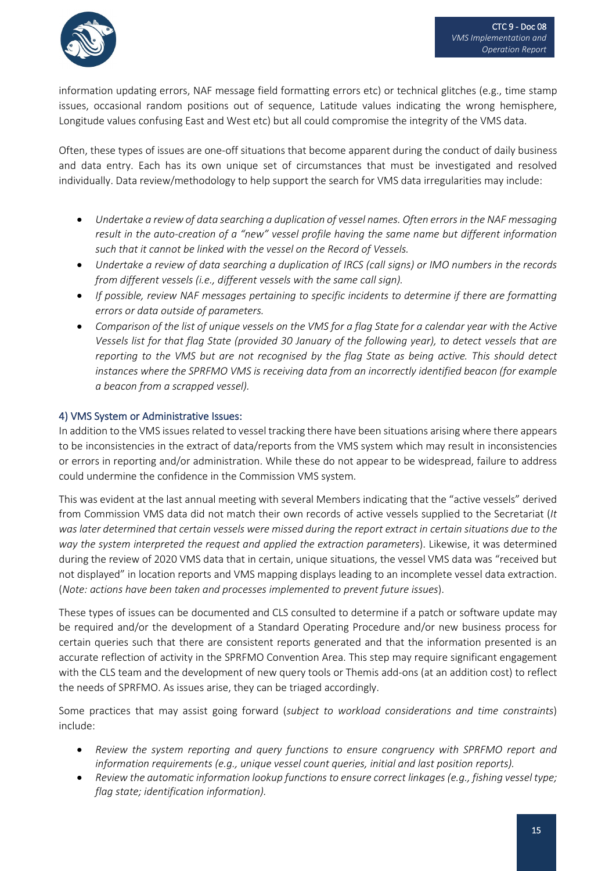

information updating errors, NAF message field formatting errors etc) or technical glitches (e.g., time stamp issues, occasional random positions out of sequence, Latitude values indicating the wrong hemisphere, Longitude values confusing East and West etc) but all could compromise the integrity of the VMS data.

Often, these types of issues are one-off situations that become apparent during the conduct of daily business and data entry. Each has its own unique set of circumstances that must be investigated and resolved individually. Data review/methodology to help support the search for VMS data irregularities may include:

- *Undertake a review of data searching a duplication of vessel names. Often errors in the NAF messaging result in the auto-creation of a "new" vessel profile having the same name but different information such that it cannot be linked with the vessel on the Record of Vessels.*
- *Undertake a review of data searching a duplication of IRCS (call signs) or IMO numbers in the records from different vessels (i.e., different vessels with the same call sign).*
- *If possible, review NAF messages pertaining to specific incidents to determine if there are formatting errors or data outside of parameters.*
- *Comparison of the list of unique vessels on the VMS for a flag State for a calendar year with the Active Vessels list for that flag State (provided 30 January of the following year), to detect vessels that are reporting to the VMS but are not recognised by the flag State as being active. This should detect instances where the SPRFMO VMS is receiving data from an incorrectly identified beacon (for example a beacon from a scrapped vessel).*

## 4) VMS System or Administrative Issues:

In addition to the VMS issues related to vessel tracking there have been situations arising where there appears to be inconsistencies in the extract of data/reports from the VMS system which may result in inconsistencies or errors in reporting and/or administration. While these do not appear to be widespread, failure to address could undermine the confidence in the Commission VMS system.

This was evident at the last annual meeting with several Members indicating that the "active vessels" derived from Commission VMS data did not match their own records of active vessels supplied to the Secretariat (*It was later determined that certain vessels were missed during the report extract in certain situations due to the way the system interpreted the request and applied the extraction parameters*). Likewise, it was determined during the review of 2020 VMS data that in certain, unique situations, the vessel VMS data was "received but not displayed" in location reports and VMS mapping displays leading to an incomplete vessel data extraction. (*Note: actions have been taken and processes implemented to prevent future issues*).

These types of issues can be documented and CLS consulted to determine if a patch or software update may be required and/or the development of a Standard Operating Procedure and/or new business process for certain queries such that there are consistent reports generated and that the information presented is an accurate reflection of activity in the SPRFMO Convention Area. This step may require significant engagement with the CLS team and the development of new query tools or Themis add-ons (at an addition cost) to reflect the needs of SPRFMO. As issues arise, they can be triaged accordingly.

Some practices that may assist going forward (*subject to workload considerations and time constraints*) include:

- *Review the system reporting and query functions to ensure congruency with SPRFMO report and information requirements (e.g., unique vessel count queries, initial and last position reports).*
- *Review the automatic information lookup functions to ensure correct linkages (e.g., fishing vessel type; flag state; identification information).*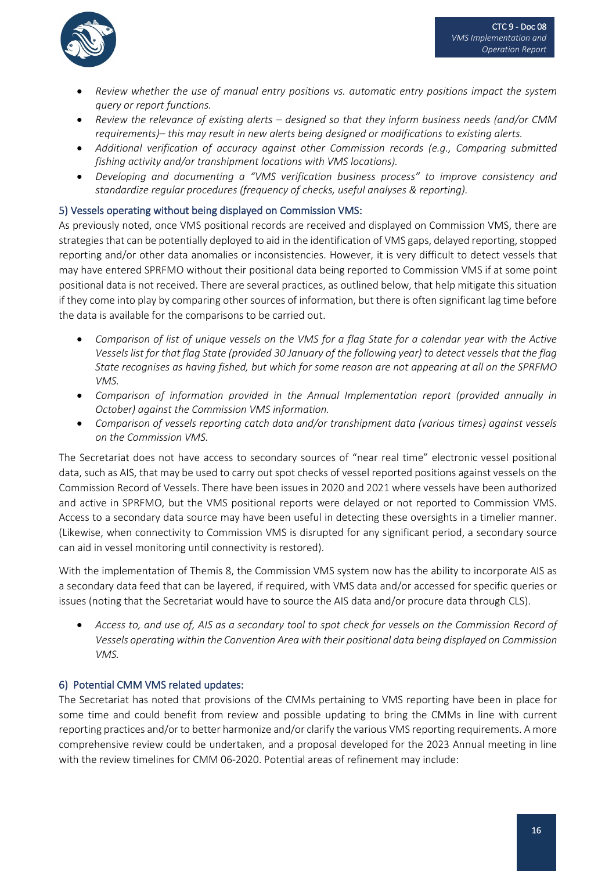

- *Review whether the use of manual entry positions vs. automatic entry positions impact the system query or report functions.*
- *Review the relevance of existing alerts – designed so that they inform business needs (and/or CMM requirements)– this may result in new alerts being designed or modifications to existing alerts.*
- *Additional verification of accuracy against other Commission records (e.g., Comparing submitted fishing activity and/or transhipment locations with VMS locations).*
- *Developing and documenting a "VMS verification business process" to improve consistency and standardize regular procedures (frequency of checks, useful analyses & reporting).*

#### 5) Vessels operating without being displayed on Commission VMS:

As previously noted, once VMS positional records are received and displayed on Commission VMS, there are strategies that can be potentially deployed to aid in the identification of VMS gaps, delayed reporting, stopped reporting and/or other data anomalies or inconsistencies. However, it is very difficult to detect vessels that may have entered SPRFMO without their positional data being reported to Commission VMS if at some point positional data is not received. There are several practices, as outlined below, that help mitigate this situation if they come into play by comparing other sources of information, but there is often significant lag time before the data is available for the comparisons to be carried out.

- *Comparison of list of unique vessels on the VMS for a flag State for a calendar year with the Active Vessels list for that flag State (provided 30 January of the following year) to detect vessels that the flag State recognises as having fished, but which for some reason are not appearing at all on the SPRFMO VMS.*
- *Comparison of information provided in the Annual Implementation report (provided annually in October) against the Commission VMS information.*
- *Comparison of vessels reporting catch data and/or transhipment data (various times) against vessels on the Commission VMS.*

The Secretariat does not have access to secondary sources of "near real time" electronic vessel positional data, such as AIS, that may be used to carry out spot checks of vessel reported positions against vessels on the Commission Record of Vessels. There have been issues in 2020 and 2021 where vessels have been authorized and active in SPRFMO, but the VMS positional reports were delayed or not reported to Commission VMS. Access to a secondary data source may have been useful in detecting these oversights in a timelier manner. (Likewise, when connectivity to Commission VMS is disrupted for any significant period, a secondary source can aid in vessel monitoring until connectivity is restored).

With the implementation of Themis 8, the Commission VMS system now has the ability to incorporate AIS as a secondary data feed that can be layered, if required, with VMS data and/or accessed for specific queries or issues (noting that the Secretariat would have to source the AIS data and/or procure data through CLS).

• *Access to, and use of, AIS as a secondary tool to spot check for vessels on the Commission Record of Vessels operating within the Convention Area with their positional data being displayed on Commission VMS.*

#### 6) Potential CMM VMS related updates:

The Secretariat has noted that provisions of the CMMs pertaining to VMS reporting have been in place for some time and could benefit from review and possible updating to bring the CMMs in line with current reporting practices and/or to better harmonize and/or clarify the various VMS reporting requirements. A more comprehensive review could be undertaken, and a proposal developed for the 2023 Annual meeting in line with the review timelines for CMM 06-2020. Potential areas of refinement may include: